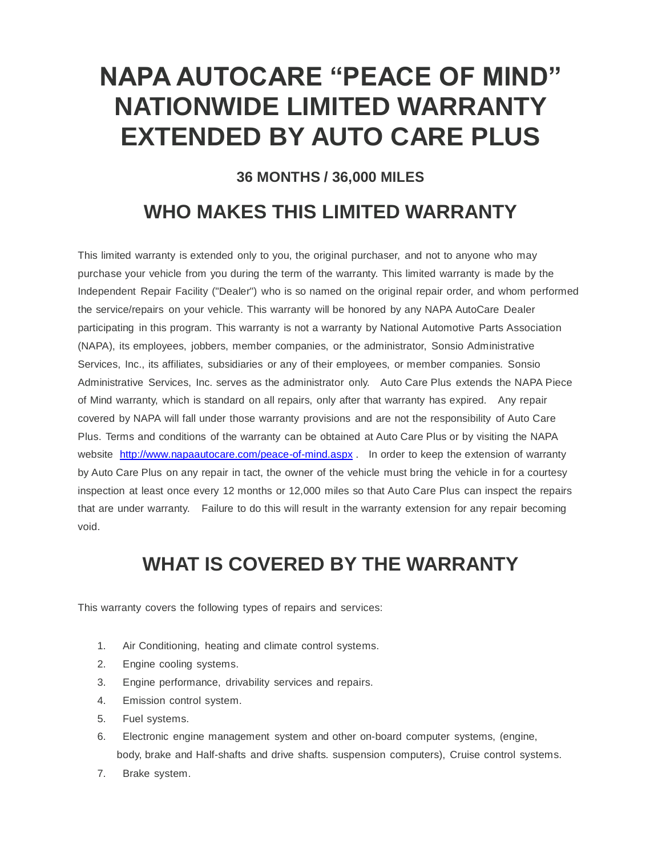# **NAPA AUTOCARE "PEACE OF MIND" NATIONWIDE LIMITED WARRANTY EXTENDED BY AUTO CARE PLUS**

### **36 MONTHS / 36,000 MILES**

## **WHO MAKES THIS LIMITED WARRANTY**

This limited warranty is extended only to you, the original purchaser, and not to anyone who may purchase your vehicle from you during the term of the warranty. This limited warranty is made by the Independent Repair Facility ("Dealer") who is so named on the original repair order, and whom performed the service/repairs on your vehicle. This warranty will be honored by any NAPA AutoCare Dealer participating in this program. This warranty is not a warranty by National Automotive Parts Association (NAPA), its employees, jobbers, member companies, or the administrator, Sonsio Administrative Services, Inc., its affiliates, subsidiaries or any of their employees, or member companies. Sonsio Administrative Services, Inc. serves as the administrator only. Auto Care Plus extends the NAPA Piece of Mind warranty, which is standard on all repairs, only after that warranty has expired. Any repair covered by NAPA will fall under those warranty provisions and are not the responsibility of Auto Care Plus. Terms and conditions of the warranty can be obtained at Auto Care Plus or by visiting the NAPA website <http://www.napaautocare.com/peace-of-mind.aspx> . In order to keep the extension of warranty by Auto Care Plus on any repair in tact, the owner of the vehicle must bring the vehicle in for a courtesy inspection at least once every 12 months or 12,000 miles so that Auto Care Plus can inspect the repairs that are under warranty. Failure to do this will result in the warranty extension for any repair becoming void.

## **WHAT IS COVERED BY THE WARRANTY**

This warranty covers the following types of repairs and services:

- 1. Air Conditioning, heating and climate control systems.
- 2. Engine cooling systems.
- 3. Engine performance, drivability services and repairs.
- 4. Emission control system.
- 5. Fuel systems.
- 6. Electronic engine management system and other on-board computer systems, (engine, body, brake and Half-shafts and drive shafts. suspension computers), Cruise control systems.
- 7. Brake system.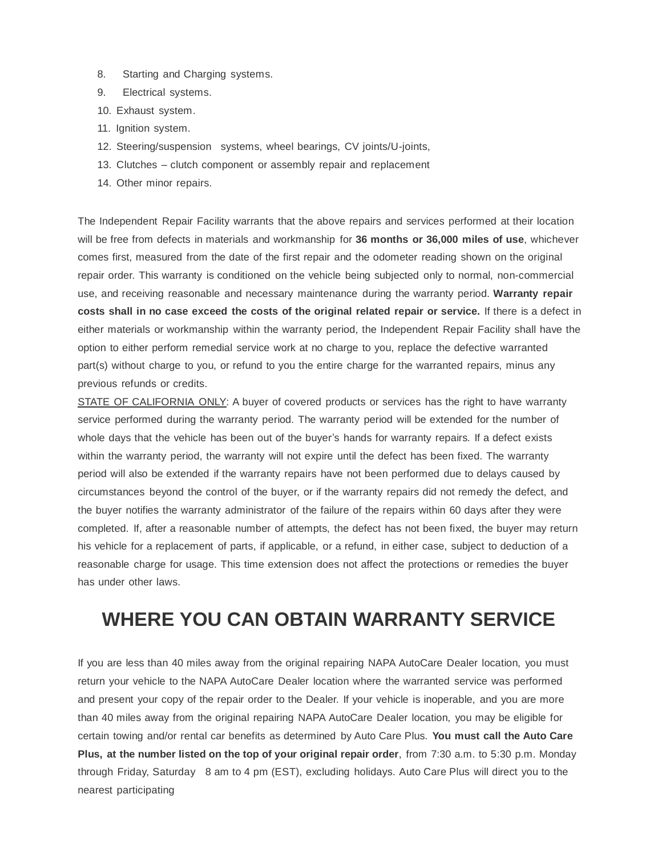- 8. Starting and Charging systems.
- 9. Electrical systems.
- 10. Exhaust system.
- 11. Ignition system.
- 12. Steering/suspension systems, wheel bearings, CV joints/U-joints,
- 13. Clutches clutch component or assembly repair and replacement
- 14. Other minor repairs.

The Independent Repair Facility warrants that the above repairs and services performed at their location will be free from defects in materials and workmanship for **36 months or 36,000 miles of use**, whichever comes first, measured from the date of the first repair and the odometer reading shown on the original repair order. This warranty is conditioned on the vehicle being subjected only to normal, non-commercial use, and receiving reasonable and necessary maintenance during the warranty period. **Warranty repair costs shall in no case exceed the costs of the original related repair or service.** If there is a defect in either materials or workmanship within the warranty period, the Independent Repair Facility shall have the option to either perform remedial service work at no charge to you, replace the defective warranted part(s) without charge to you, or refund to you the entire charge for the warranted repairs, minus any previous refunds or credits.

STATE OF CALIFORNIA ONLY: A buyer of covered products or services has the right to have warranty service performed during the warranty period. The warranty period will be extended for the number of whole days that the vehicle has been out of the buyer's hands for warranty repairs. If a defect exists within the warranty period, the warranty will not expire until the defect has been fixed. The warranty period will also be extended if the warranty repairs have not been performed due to delays caused by circumstances beyond the control of the buyer, or if the warranty repairs did not remedy the defect, and the buyer notifies the warranty administrator of the failure of the repairs within 60 days after they were completed. If, after a reasonable number of attempts, the defect has not been fixed, the buyer may return his vehicle for a replacement of parts, if applicable, or a refund, in either case, subject to deduction of a reasonable charge for usage. This time extension does not affect the protections or remedies the buyer has under other laws.

### **WHERE YOU CAN OBTAIN WARRANTY SERVICE**

If you are less than 40 miles away from the original repairing NAPA AutoCare Dealer location, you must return your vehicle to the NAPA AutoCare Dealer location where the warranted service was performed and present your copy of the repair order to the Dealer. If your vehicle is inoperable, and you are more than 40 miles away from the original repairing NAPA AutoCare Dealer location, you may be eligible for certain towing and/or rental car benefits as determined by Auto Care Plus. **You must call the Auto Care Plus, at the number listed on the top of your original repair order**, from 7:30 a.m. to 5:30 p.m. Monday through Friday, Saturday 8 am to 4 pm (EST), excluding holidays. Auto Care Plus will direct you to the nearest participating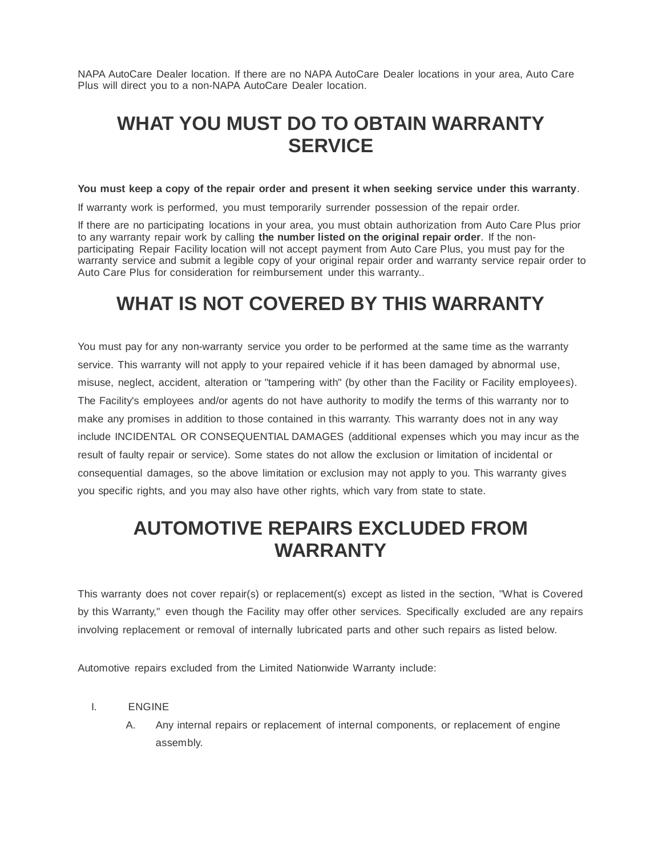NAPA AutoCare Dealer location. If there are no NAPA AutoCare Dealer locations in your area, Auto Care Plus will direct you to a non-NAPA AutoCare Dealer location.

### **WHAT YOU MUST DO TO OBTAIN WARRANTY SERVICE**

#### **You must keep a copy of the repair order and present it when seeking service under this warranty**.

If warranty work is performed, you must temporarily surrender possession of the repair order.

If there are no participating locations in your area, you must obtain authorization from Auto Care Plus prior to any warranty repair work by calling **the number listed on the original repair order**. If the nonparticipating Repair Facility location will not accept payment from Auto Care Plus, you must pay for the warranty service and submit a legible copy of your original repair order and warranty service repair order to Auto Care Plus for consideration for reimbursement under this warranty..

### **WHAT IS NOT COVERED BY THIS WARRANTY**

You must pay for any non-warranty service you order to be performed at the same time as the warranty service. This warranty will not apply to your repaired vehicle if it has been damaged by abnormal use, misuse, neglect, accident, alteration or "tampering with" (by other than the Facility or Facility employees). The Facility's employees and/or agents do not have authority to modify the terms of this warranty nor to make any promises in addition to those contained in this warranty. This warranty does not in any way include INCIDENTAL OR CONSEQUENTIAL DAMAGES (additional expenses which you may incur as the result of faulty repair or service). Some states do not allow the exclusion or limitation of incidental or consequential damages, so the above limitation or exclusion may not apply to you. This warranty gives you specific rights, and you may also have other rights, which vary from state to state.

### **AUTOMOTIVE REPAIRS EXCLUDED FROM WARRANTY**

This warranty does not cover repair(s) or replacement(s) except as listed in the section, "What is Covered by this Warranty," even though the Facility may offer other services. Specifically excluded are any repairs involving replacement or removal of internally lubricated parts and other such repairs as listed below.

Automotive repairs excluded from the Limited Nationwide Warranty include:

- I. ENGINE
	- A. Any internal repairs or replacement of internal components, or replacement of engine assembly.